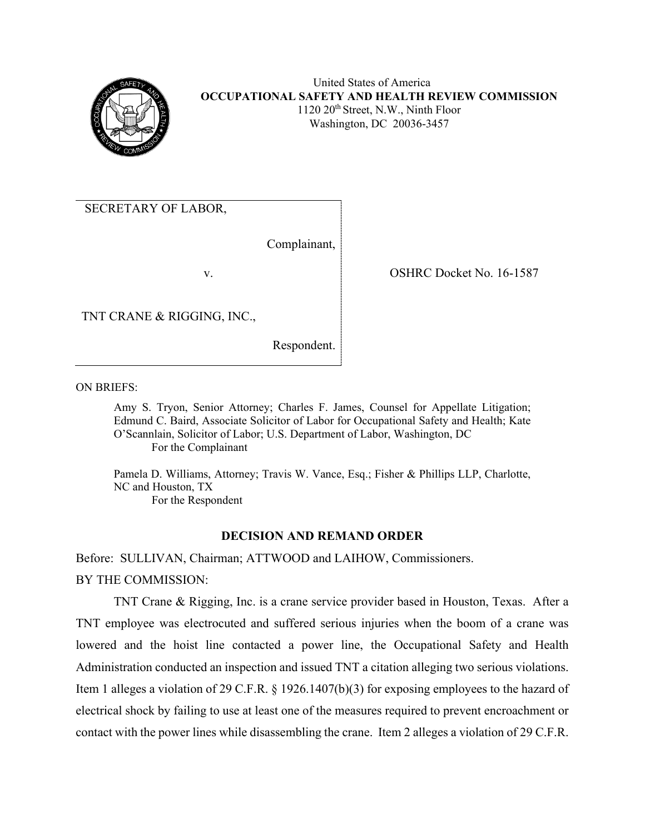

SECRETARY OF LABOR,

Complainant,

v.

OSHRC Docket No. 16-1587

TNT CRANE & RIGGING, INC.,

Respondent.

ON BRIEFS:

Amy S. Tryon, Senior Attorney; Charles F. James, Counsel for Appellate Litigation; Edmund C. Baird, Associate Solicitor of Labor for Occupational Safety and Health; Kate O'Scannlain, Solicitor of Labor; U.S. Department of Labor, Washington, DC For the Complainant

Pamela D. Williams, Attorney; Travis W. Vance, Esq.; Fisher & Phillips LLP, Charlotte, NC and Houston, TX For the Respondent

# **DECISION AND REMAND ORDER**

Before: SULLIVAN, Chairman; ATTWOOD and LAIHOW, Commissioners. BY THE COMMISSION:

TNT Crane & Rigging, Inc. is a crane service provider based in Houston, Texas. After a TNT employee was electrocuted and suffered serious injuries when the boom of a crane was lowered and the hoist line contacted a power line, the Occupational Safety and Health Administration conducted an inspection and issued TNT a citation alleging two serious violations. Item 1 alleges a violation of 29 C.F.R. § 1926.1407(b)(3) for exposing employees to the hazard of electrical shock by failing to use at least one of the measures required to prevent encroachment or contact with the power lines while disassembling the crane. Item 2 alleges a violation of 29 C.F.R.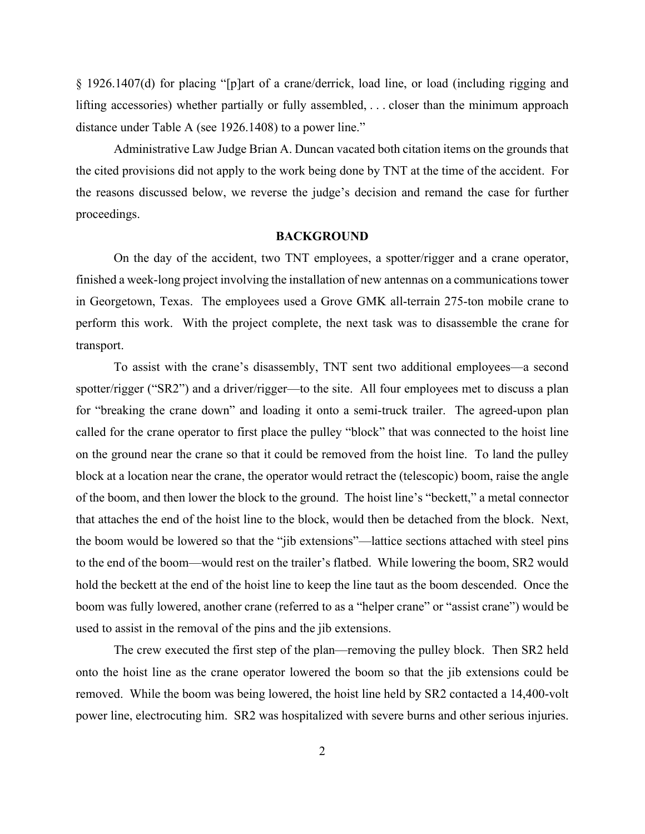§ 1926.1407(d) for placing "[p]art of a crane/derrick, load line, or load (including rigging and lifting accessories) whether partially or fully assembled, . . . closer than the minimum approach distance under Table A (see 1926.1408) to a power line."

Administrative Law Judge Brian A. Duncan vacated both citation items on the grounds that the cited provisions did not apply to the work being done by TNT at the time of the accident. For the reasons discussed below, we reverse the judge's decision and remand the case for further proceedings.

#### **BACKGROUND**

On the day of the accident, two TNT employees, a spotter/rigger and a crane operator, finished a week-long project involving the installation of new antennas on a communications tower in Georgetown, Texas. The employees used a Grove GMK all-terrain 275-ton mobile crane to perform this work. With the project complete, the next task was to disassemble the crane for transport.

To assist with the crane's disassembly, TNT sent two additional employees—a second spotter/rigger ("SR2") and a driver/rigger—to the site. All four employees met to discuss a plan for "breaking the crane down" and loading it onto a semi-truck trailer. The agreed-upon plan called for the crane operator to first place the pulley "block" that was connected to the hoist line on the ground near the crane so that it could be removed from the hoist line. To land the pulley block at a location near the crane, the operator would retract the (telescopic) boom, raise the angle of the boom, and then lower the block to the ground. The hoist line's "beckett," a metal connector that attaches the end of the hoist line to the block, would then be detached from the block. Next, the boom would be lowered so that the "jib extensions"—lattice sections attached with steel pins to the end of the boom—would rest on the trailer's flatbed. While lowering the boom, SR2 would hold the beckett at the end of the hoist line to keep the line taut as the boom descended. Once the boom was fully lowered, another crane (referred to as a "helper crane" or "assist crane") would be used to assist in the removal of the pins and the jib extensions.

The crew executed the first step of the plan—removing the pulley block. Then SR2 held onto the hoist line as the crane operator lowered the boom so that the jib extensions could be removed. While the boom was being lowered, the hoist line held by SR2 contacted a 14,400-volt power line, electrocuting him. SR2 was hospitalized with severe burns and other serious injuries.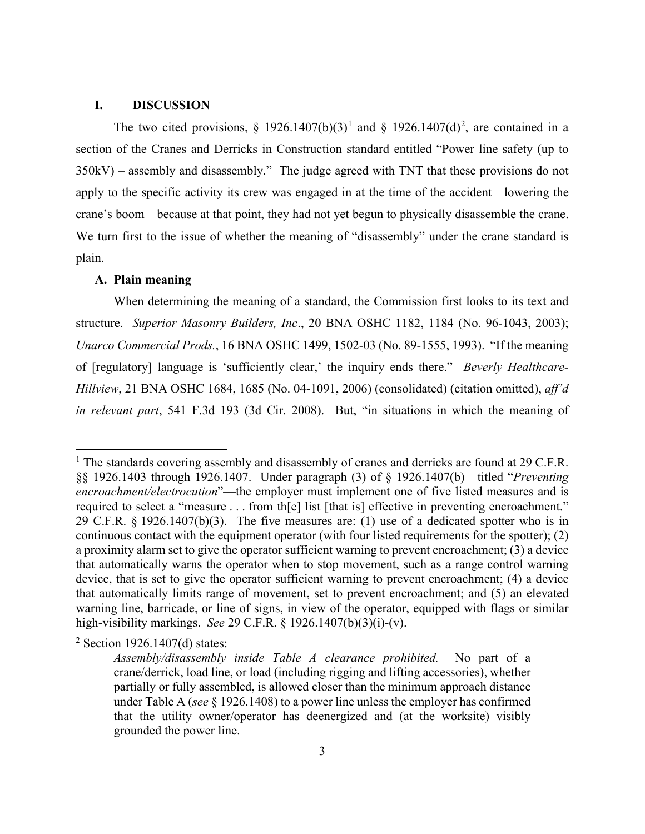### **I. DISCUSSION**

The two cited provisions, § [1](#page-2-0)9[2](#page-2-1)6.1407(b)(3)<sup>1</sup> and § 1926.1407(d)<sup>2</sup>, are contained in a section of the Cranes and Derricks in Construction standard entitled "Power line safety (up to 350kV) – assembly and disassembly." The judge agreed with TNT that these provisions do not apply to the specific activity its crew was engaged in at the time of the accident—lowering the crane's boom—because at that point, they had not yet begun to physically disassemble the crane. We turn first to the issue of whether the meaning of "disassembly" under the crane standard is plain.

## **A. Plain meaning**

When determining the meaning of a standard, the Commission first looks to its text and structure. *Superior Masonry Builders, Inc*., 20 BNA OSHC 1182, 1184 (No. 96-1043, 2003); *Unarco Commercial Prods.*, 16 BNA OSHC 1499, 1502-03 (No. 89-1555, 1993). "If the meaning of [regulatory] language is 'sufficiently clear,' the inquiry ends there." *Beverly Healthcare-Hillview*, 21 BNA OSHC 1684, 1685 (No. 04-1091, 2006) (consolidated) (citation omitted), *aff'd in relevant part*, 541 F.3d 193 (3d Cir. 2008). But, "in situations in which the meaning of

<span id="page-2-0"></span><sup>&</sup>lt;sup>1</sup> The standards covering assembly and disassembly of cranes and derricks are found at 29 C.F.R. §§ 1926.1403 through 1926.1407. Under paragraph (3) of § 1926.1407(b)—titled "*Preventing encroachment/electrocution*"—the employer must implement one of five listed measures and is required to select a "measure . . . from th[e] list [that is] effective in preventing encroachment." 29 C.F.R. § 1926.1407(b)(3). The five measures are: (1) use of a dedicated spotter who is in continuous contact with the equipment operator (with four listed requirements for the spotter); (2) a proximity alarm set to give the operator sufficient warning to prevent encroachment; (3) a device that automatically warns the operator when to stop movement, such as a range control warning device, that is set to give the operator sufficient warning to prevent encroachment; (4) a device that automatically limits range of movement, set to prevent encroachment; and (5) an elevated warning line, barricade, or line of signs, in view of the operator, equipped with flags or similar high-visibility markings. *See* 29 C.F.R. § 1926.1407(b)(3)(i)-(v).

<span id="page-2-1"></span> $2$  Section 1926.1407(d) states:

*Assembly/disassembly inside Table A clearance prohibited.* No part of a crane/derrick, load line, or load (including rigging and lifting accessories), whether partially or fully assembled, is allowed closer than the minimum approach distance under Table A (*see* § 1926.1408) to a power line unless the employer has confirmed that the utility owner/operator has deenergized and (at the worksite) visibly grounded the power line.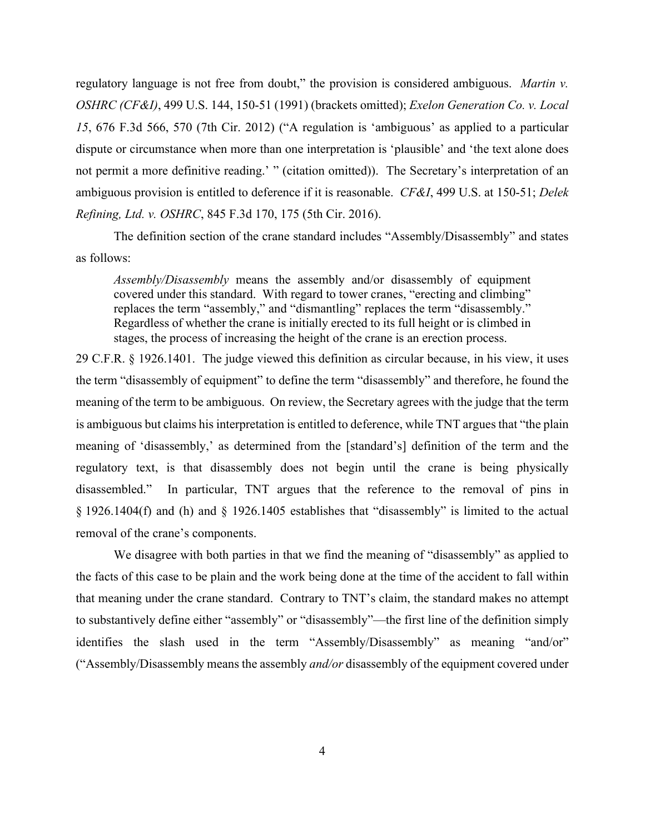regulatory language is not free from doubt," the provision is considered ambiguous. *Martin v. OSHRC (CF&I)*, 499 U.S. 144, 150-51 (1991) (brackets omitted); *Exelon Generation Co. v. Local 15*, 676 F.3d 566, 570 (7th Cir. 2012) ("A regulation is 'ambiguous' as applied to a particular dispute or circumstance when more than one interpretation is 'plausible' and 'the text alone does not permit a more definitive reading.' " (citation omitted)). The Secretary's interpretation of an ambiguous provision is entitled to deference if it is reasonable. *CF&I*, 499 U.S. at 150-51; *Delek Refining, Ltd. v. OSHRC*, 845 F.3d 170, 175 (5th Cir. 2016).

The definition section of the crane standard includes "Assembly/Disassembly" and states as follows:

*Assembly/Disassembly* means the assembly and/or disassembly of equipment covered under this standard. With regard to tower cranes, "erecting and climbing" replaces the term "assembly," and "dismantling" replaces the term "disassembly." Regardless of whether the crane is initially erected to its full height or is climbed in stages, the process of increasing the height of the crane is an erection process.

29 C.F.R. § 1926.1401. The judge viewed this definition as circular because, in his view, it uses the term "disassembly of equipment" to define the term "disassembly" and therefore, he found the meaning of the term to be ambiguous. On review, the Secretary agrees with the judge that the term is ambiguous but claims his interpretation is entitled to deference, while TNT argues that "the plain meaning of 'disassembly,' as determined from the [standard's] definition of the term and the regulatory text, is that disassembly does not begin until the crane is being physically disassembled." In particular, TNT argues that the reference to the removal of pins in § 1926.1404(f) and (h) and § 1926.1405 establishes that "disassembly" is limited to the actual removal of the crane's components.

We disagree with both parties in that we find the meaning of "disassembly" as applied to the facts of this case to be plain and the work being done at the time of the accident to fall within that meaning under the crane standard. Contrary to TNT's claim, the standard makes no attempt to substantively define either "assembly" or "disassembly"—the first line of the definition simply identifies the slash used in the term "Assembly/Disassembly" as meaning "and/or" ("Assembly/Disassembly means the assembly *and/or* disassembly of the equipment covered under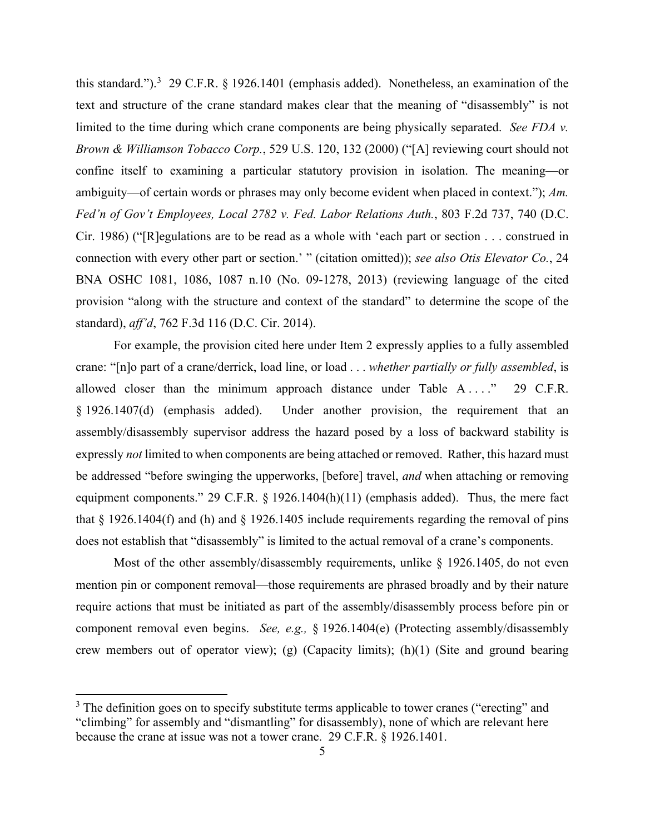this standard.").<sup>[3](#page-4-0)</sup> 29 C.F.R. § 1926.1401 (emphasis added). Nonetheless, an examination of the text and structure of the crane standard makes clear that the meaning of "disassembly" is not limited to the time during which crane components are being physically separated. *See FDA v. Brown & Williamson Tobacco Corp.*, 529 U.S. 120, 132 (2000) ("[A] reviewing court should not confine itself to examining a particular statutory provision in isolation. The meaning—or ambiguity—of certain words or phrases may only become evident when placed in context."); *Am. Fed'n of Gov't Employees, Local 2782 v. Fed. Labor Relations Auth.*, 803 F.2d 737, 740 (D.C. Cir. 1986) ("[R]egulations are to be read as a whole with 'each part or section . . . construed in connection with every other part or section.' " (citation omitted)); *see also Otis Elevator Co.*, 24 BNA OSHC 1081, 1086, 1087 n.10 (No. 09-1278, 2013) (reviewing language of the cited provision "along with the structure and context of the standard" to determine the scope of the standard), *aff'd*, 762 F.3d 116 (D.C. Cir. 2014).

For example, the provision cited here under Item 2 expressly applies to a fully assembled crane: "[n]o part of a crane/derrick, load line, or load . . . *whether partially or fully assembled*, is allowed closer than the minimum approach distance under Table  $A \ldots$ ." 29 C.F.R. § 1926.1407(d) (emphasis added). Under another provision, the requirement that an assembly/disassembly supervisor address the hazard posed by a loss of backward stability is expressly *not* limited to when components are being attached or removed. Rather, this hazard must be addressed "before swinging the upperworks, [before] travel, *and* when attaching or removing equipment components." 29 C.F.R. § 1926.1404(h)(11) (emphasis added). Thus, the mere fact that § 1926.1404(f) and (h) and § 1926.1405 include requirements regarding the removal of pins does not establish that "disassembly" is limited to the actual removal of a crane's components.

Most of the other assembly/disassembly requirements, unlike § 1926.1405, do not even mention pin or component removal—those requirements are phrased broadly and by their nature require actions that must be initiated as part of the assembly/disassembly process before pin or component removal even begins. *See, e.g.,* § 1926.1404(e) (Protecting assembly/disassembly crew members out of operator view); (g) (Capacity limits); (h)(1) (Site and ground bearing

<span id="page-4-0"></span> $3$  The definition goes on to specify substitute terms applicable to tower cranes ("erecting" and "climbing" for assembly and "dismantling" for disassembly), none of which are relevant here because the crane at issue was not a tower crane. 29 C.F.R. § 1926.1401.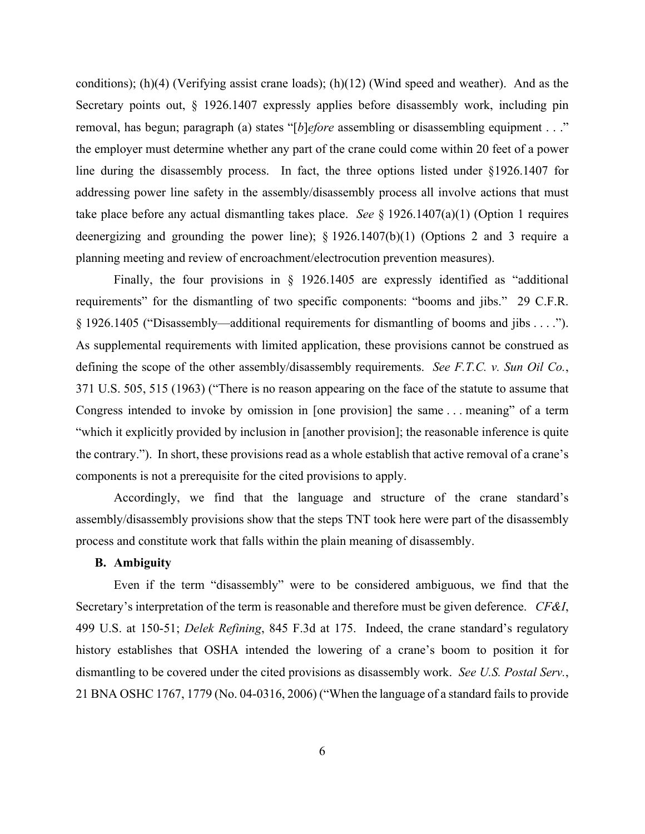conditions); (h)(4) (Verifying assist crane loads); (h)(12) (Wind speed and weather). And as the Secretary points out, § 1926.1407 expressly applies before disassembly work, including pin removal, has begun; paragraph (a) states "[*b*]*efore* assembling or disassembling equipment . . ." the employer must determine whether any part of the crane could come within 20 feet of a power line during the disassembly process. In fact, the three options listed under §1926.1407 for addressing power line safety in the assembly/disassembly process all involve actions that must take place before any actual dismantling takes place. *See* § 1926.1407(a)(1) (Option 1 requires deenergizing and grounding the power line); § 1926.1407(b)(1) (Options 2 and 3 require a planning meeting and review of encroachment/electrocution prevention measures).

Finally, the four provisions in § 1926.1405 are expressly identified as "additional requirements" for the dismantling of two specific components: "booms and jibs." 29 C.F.R. § 1926.1405 ("Disassembly—additional requirements for dismantling of booms and jibs . . . ."). As supplemental requirements with limited application, these provisions cannot be construed as defining the scope of the other assembly/disassembly requirements. *See F.T.C. v. Sun Oil Co.*, 371 U.S. 505, 515 (1963) ("There is no reason appearing on the face of the statute to assume that Congress intended to invoke by omission in [one provision] the same . . . meaning" of a term "which it explicitly provided by inclusion in [another provision]; the reasonable inference is quite the contrary."). In short, these provisions read as a whole establish that active removal of a crane's components is not a prerequisite for the cited provisions to apply.

Accordingly, we find that the language and structure of the crane standard's assembly/disassembly provisions show that the steps TNT took here were part of the disassembly process and constitute work that falls within the plain meaning of disassembly.

### **B. Ambiguity**

Even if the term "disassembly" were to be considered ambiguous, we find that the Secretary's interpretation of the term is reasonable and therefore must be given deference. *CF&I*, 499 U.S. at 150-51; *Delek Refining*, 845 F.3d at 175. Indeed, the crane standard's regulatory history establishes that OSHA intended the lowering of a crane's boom to position it for dismantling to be covered under the cited provisions as disassembly work. *See U.S. Postal Serv.*, 21 BNA OSHC 1767, 1779 (No. 04-0316, 2006) ("When the language of a standard fails to provide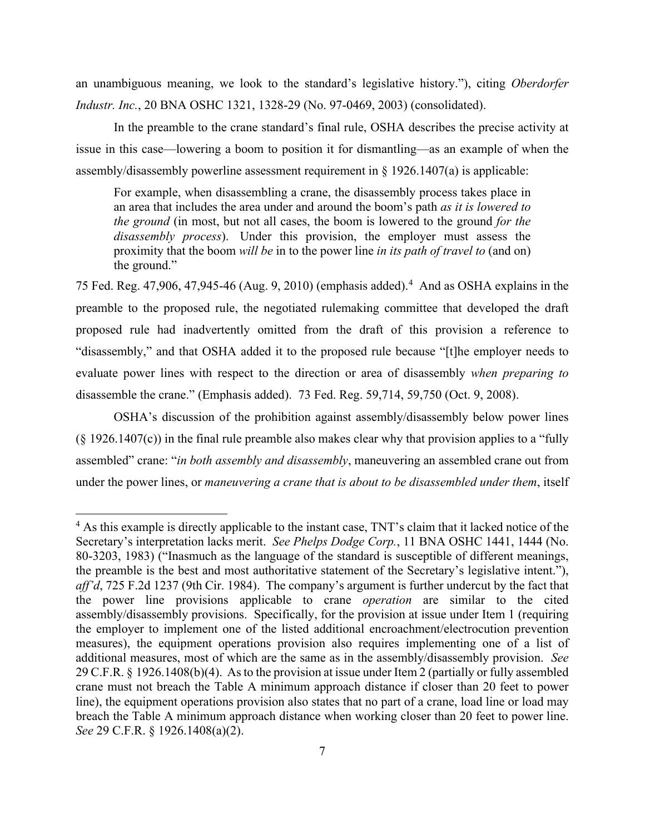an unambiguous meaning, we look to the standard's legislative history."), citing *Oberdorfer Industr. Inc.*, 20 BNA OSHC 1321, 1328-29 (No. 97-0469, 2003) (consolidated).

In the preamble to the crane standard's final rule, OSHA describes the precise activity at issue in this case—lowering a boom to position it for dismantling—as an example of when the assembly/disassembly powerline assessment requirement in  $\S$  1926.1407(a) is applicable:

For example, when disassembling a crane, the disassembly process takes place in an area that includes the area under and around the boom's path *as it is lowered to the ground* (in most, but not all cases, the boom is lowered to the ground *for the disassembly process*). Under this provision, the employer must assess the proximity that the boom *will be* in to the power line *in its path of travel to* (and on) the ground."

75 Fed. Reg. [4](#page-6-0)7,906, 47,945-46 (Aug. 9, 2010) (emphasis added).<sup>4</sup> And as OSHA explains in the preamble to the proposed rule, the negotiated rulemaking committee that developed the draft proposed rule had inadvertently omitted from the draft of this provision a reference to "disassembly," and that OSHA added it to the proposed rule because "[t]he employer needs to evaluate power lines with respect to the direction or area of disassembly *when preparing to* disassemble the crane." (Emphasis added). 73 Fed. Reg. 59,714, 59,750 (Oct. 9, 2008).

OSHA's discussion of the prohibition against assembly/disassembly below power lines  $(\S 1926.1407(c))$  in the final rule preamble also makes clear why that provision applies to a "fully" assembled" crane: "*in both assembly and disassembly*, maneuvering an assembled crane out from under the power lines, or *maneuvering a crane that is about to be disassembled under them*, itself

<span id="page-6-0"></span><sup>&</sup>lt;sup>4</sup> As this example is directly applicable to the instant case, TNT's claim that it lacked notice of the Secretary's interpretation lacks merit. *See Phelps Dodge Corp.*, 11 BNA OSHC 1441, 1444 (No. 80-3203, 1983) ("Inasmuch as the language of the standard is susceptible of different meanings, the preamble is the best and most authoritative statement of the Secretary's legislative intent."), *aff'd*, 725 F.2d 1237 (9th Cir. 1984). The company's argument is further undercut by the fact that the power line provisions applicable to crane *operation* are similar to the cited assembly/disassembly provisions. Specifically, for the provision at issue under Item 1 (requiring the employer to implement one of the listed additional encroachment/electrocution prevention measures), the equipment operations provision also requires implementing one of a list of additional measures, most of which are the same as in the assembly/disassembly provision. *See* 29 C.F.R. § 1926.1408(b)(4). As to the provision at issue under Item 2 (partially or fully assembled crane must not breach the Table A minimum approach distance if closer than 20 feet to power line), the equipment operations provision also states that no part of a crane, load line or load may breach the Table A minimum approach distance when working closer than 20 feet to power line. *See* 29 C.F.R. § 1926.1408(a)(2).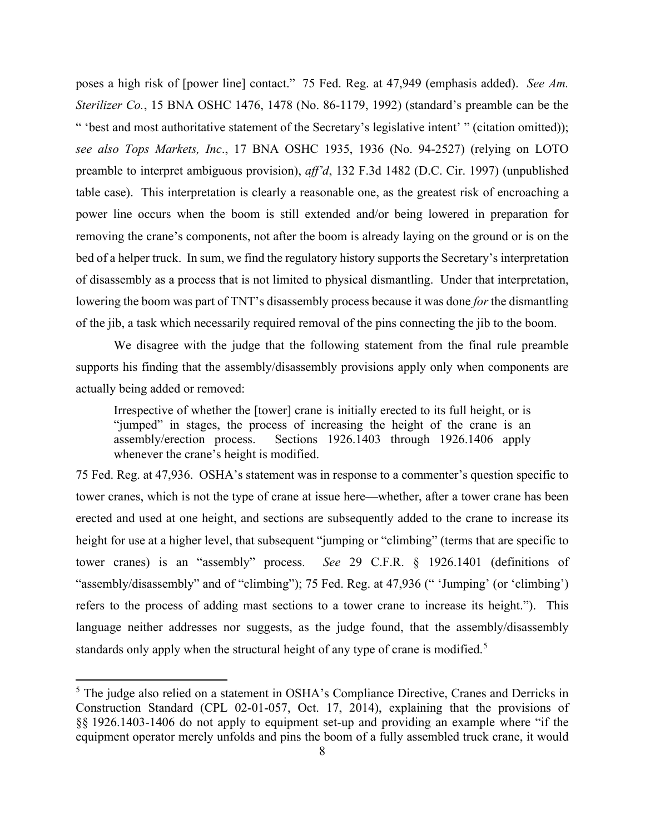poses a high risk of [power line] contact." 75 Fed. Reg. at 47,949 (emphasis added). *See Am. Sterilizer Co.*, 15 BNA OSHC 1476, 1478 (No. 86-1179, 1992) (standard's preamble can be the " 'best and most authoritative statement of the Secretary's legislative intent' " (citation omitted)); *see also Tops Markets, Inc*., 17 BNA OSHC 1935, 1936 (No. 94-2527) (relying on LOTO preamble to interpret ambiguous provision), *aff'd*, 132 F.3d 1482 (D.C. Cir. 1997) (unpublished table case). This interpretation is clearly a reasonable one, as the greatest risk of encroaching a power line occurs when the boom is still extended and/or being lowered in preparation for removing the crane's components, not after the boom is already laying on the ground or is on the bed of a helper truck. In sum, we find the regulatory history supports the Secretary's interpretation of disassembly as a process that is not limited to physical dismantling. Under that interpretation, lowering the boom was part of TNT's disassembly process because it was done *for* the dismantling of the jib, a task which necessarily required removal of the pins connecting the jib to the boom.

We disagree with the judge that the following statement from the final rule preamble supports his finding that the assembly/disassembly provisions apply only when components are actually being added or removed:

Irrespective of whether the [tower] crane is initially erected to its full height, or is "jumped" in stages, the process of increasing the height of the crane is an assembly/erection process. Sections 1926.1403 through 1926.1406 apply Sections  $1926.1403$  through  $1926.1406$  apply whenever the crane's height is modified.

75 Fed. Reg. at 47,936. OSHA's statement was in response to a commenter's question specific to tower cranes, which is not the type of crane at issue here—whether, after a tower crane has been erected and used at one height, and sections are subsequently added to the crane to increase its height for use at a higher level, that subsequent "jumping or "climbing" (terms that are specific to tower cranes) is an "assembly" process. *See* 29 C.F.R. § 1926.1401 (definitions of "assembly/disassembly" and of "climbing"); 75 Fed. Reg. at 47,936 (" 'Jumping' (or 'climbing') refers to the process of adding mast sections to a tower crane to increase its height."). This language neither addresses nor suggests, as the judge found, that the assembly/disassembly standards only apply when the structural height of any type of crane is modified.<sup>[5](#page-7-0)</sup>

<span id="page-7-0"></span><sup>&</sup>lt;sup>5</sup> The judge also relied on a statement in OSHA's Compliance Directive, Cranes and Derricks in Construction Standard (CPL 02-01-057, Oct. 17, 2014), explaining that the provisions of §§ 1926.1403-1406 do not apply to equipment set-up and providing an example where "if the equipment operator merely unfolds and pins the boom of a fully assembled truck crane, it would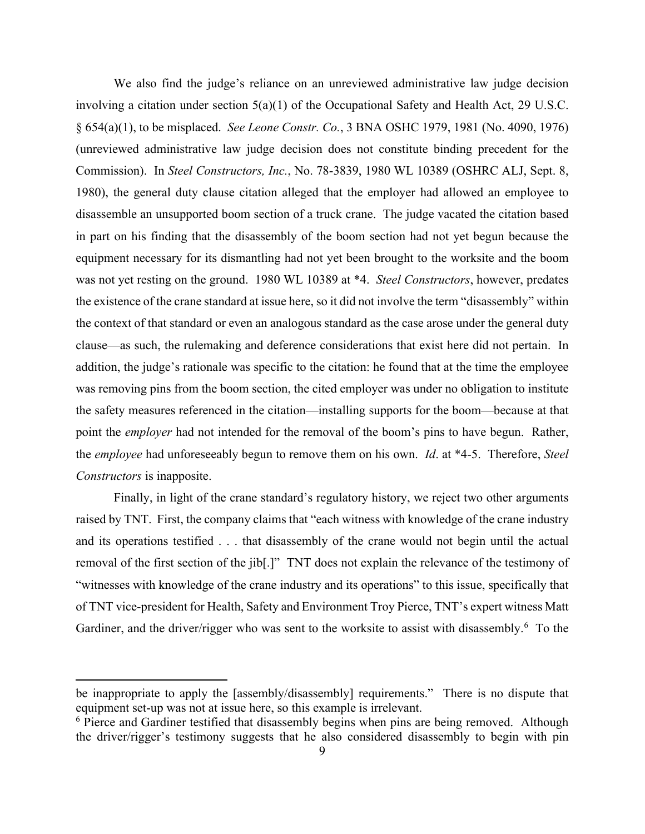We also find the judge's reliance on an unreviewed administrative law judge decision involving a citation under section 5(a)(1) of the Occupational Safety and Health Act, 29 U.S.C. § 654(a)(1), to be misplaced. *See Leone Constr. Co.*, 3 BNA OSHC 1979, 1981 (No. 4090, 1976) (unreviewed administrative law judge decision does not constitute binding precedent for the Commission). In *Steel Constructors, Inc.*, No. 78-3839, 1980 WL 10389 (OSHRC ALJ, Sept. 8, 1980), the general duty clause citation alleged that the employer had allowed an employee to disassemble an unsupported boom section of a truck crane. The judge vacated the citation based in part on his finding that the disassembly of the boom section had not yet begun because the equipment necessary for its dismantling had not yet been brought to the worksite and the boom was not yet resting on the ground. 1980 WL 10389 at \*4. *Steel Constructors*, however, predates the existence of the crane standard at issue here, so it did not involve the term "disassembly" within the context of that standard or even an analogous standard as the case arose under the general duty clause—as such, the rulemaking and deference considerations that exist here did not pertain. In addition, the judge's rationale was specific to the citation: he found that at the time the employee was removing pins from the boom section, the cited employer was under no obligation to institute the safety measures referenced in the citation—installing supports for the boom—because at that point the *employer* had not intended for the removal of the boom's pins to have begun. Rather, the *employee* had unforeseeably begun to remove them on his own. *Id*. at \*4-5. Therefore, *Steel Constructors* is inapposite.

Finally, in light of the crane standard's regulatory history, we reject two other arguments raised by TNT. First, the company claims that "each witness with knowledge of the crane industry and its operations testified . . . that disassembly of the crane would not begin until the actual removal of the first section of the jib[.]" TNT does not explain the relevance of the testimony of "witnesses with knowledge of the crane industry and its operations" to this issue, specifically that of TNT vice-president for Health, Safety and Environment Troy Pierce, TNT's expert witness Matt Gardiner, and the driver/rigger who was sent to the worksite to assist with disassembly.<sup>[6](#page-8-0)</sup> To the

be inappropriate to apply the [assembly/disassembly] requirements." There is no dispute that equipment set-up was not at issue here, so this example is irrelevant.

<span id="page-8-0"></span><sup>&</sup>lt;sup>6</sup> Pierce and Gardiner testified that disassembly begins when pins are being removed. Although the driver/rigger's testimony suggests that he also considered disassembly to begin with pin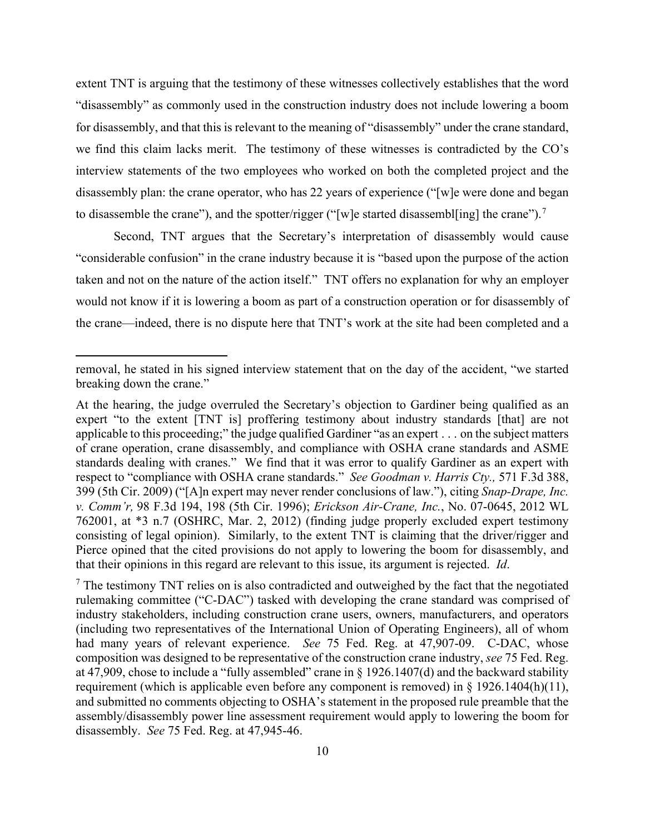extent TNT is arguing that the testimony of these witnesses collectively establishes that the word "disassembly" as commonly used in the construction industry does not include lowering a boom for disassembly, and that this is relevant to the meaning of "disassembly" under the crane standard, we find this claim lacks merit. The testimony of these witnesses is contradicted by the CO's interview statements of the two employees who worked on both the completed project and the disassembly plan: the crane operator, who has 22 years of experience ("[w]e were done and began to disassemble the crane"), and the spotter/rigger ("[w]e started disassembl[ing] the crane").<sup>[7](#page-9-0)</sup>

Second, TNT argues that the Secretary's interpretation of disassembly would cause "considerable confusion" in the crane industry because it is "based upon the purpose of the action taken and not on the nature of the action itself." TNT offers no explanation for why an employer would not know if it is lowering a boom as part of a construction operation or for disassembly of the crane—indeed, there is no dispute here that TNT's work at the site had been completed and a

removal, he stated in his signed interview statement that on the day of the accident, "we started breaking down the crane."

At the hearing, the judge overruled the Secretary's objection to Gardiner being qualified as an expert "to the extent [TNT is] proffering testimony about industry standards [that] are not applicable to this proceeding;" the judge qualified Gardiner "as an expert . . . on the subject matters of crane operation, crane disassembly, and compliance with OSHA crane standards and ASME standards dealing with cranes." We find that it was error to qualify Gardiner as an expert with respect to "compliance with OSHA crane standards." *See Goodman v. Harris Cty.,* 571 F.3d 388, 399 (5th Cir. 2009) ("[A]n expert may never render conclusions of law."), citing *Snap-Drape, Inc. v. Comm'r,* 98 F.3d 194, 198 (5th Cir. 1996); *Erickson Air-Crane, Inc.*, No. 07-0645, 2012 WL 762001, at \*3 n.7 (OSHRC, Mar. 2, 2012) (finding judge properly excluded expert testimony consisting of legal opinion). Similarly, to the extent TNT is claiming that the driver/rigger and Pierce opined that the cited provisions do not apply to lowering the boom for disassembly, and that their opinions in this regard are relevant to this issue, its argument is rejected. *Id*.

<span id="page-9-0"></span> $<sup>7</sup>$  The testimony TNT relies on is also contradicted and outweighed by the fact that the negotiated</sup> rulemaking committee ("C-DAC") tasked with developing the crane standard was comprised of industry stakeholders, including construction crane users, owners, manufacturers, and operators (including two representatives of the International Union of Operating Engineers), all of whom had many years of relevant experience. *See* 75 Fed. Reg. at 47,907-09. C-DAC, whose composition was designed to be representative of the construction crane industry, *see* 75 Fed. Reg. at 47,909, chose to include a "fully assembled" crane in § 1926.1407(d) and the backward stability requirement (which is applicable even before any component is removed) in § 1926.1404(h)(11), and submitted no comments objecting to OSHA's statement in the proposed rule preamble that the assembly/disassembly power line assessment requirement would apply to lowering the boom for disassembly. *See* 75 Fed. Reg. at 47,945-46.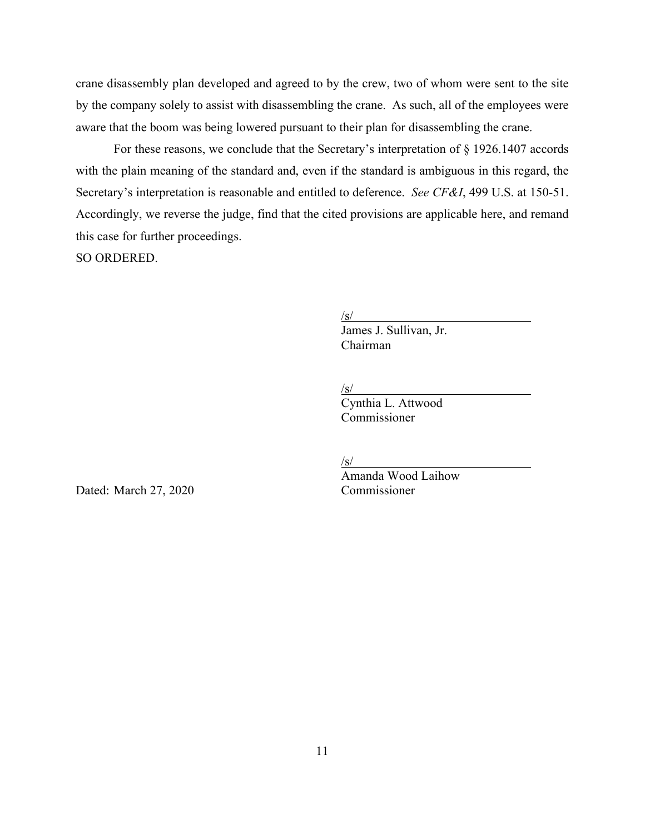crane disassembly plan developed and agreed to by the crew, two of whom were sent to the site by the company solely to assist with disassembling the crane. As such, all of the employees were aware that the boom was being lowered pursuant to their plan for disassembling the crane.

For these reasons, we conclude that the Secretary's interpretation of § 1926.1407 accords with the plain meaning of the standard and, even if the standard is ambiguous in this regard, the Secretary's interpretation is reasonable and entitled to deference. *See CF&I*, 499 U.S. at 150-51. Accordingly, we reverse the judge, find that the cited provisions are applicable here, and remand this case for further proceedings.

SO ORDERED.

/s/

 James J. Sullivan, Jr. Chairman

/s/

Cynthia L. Attwood Commissioner

 $\sqrt{s/2}$ 

Amanda Wood Laihow

Dated: March 27, 2020 Commissioner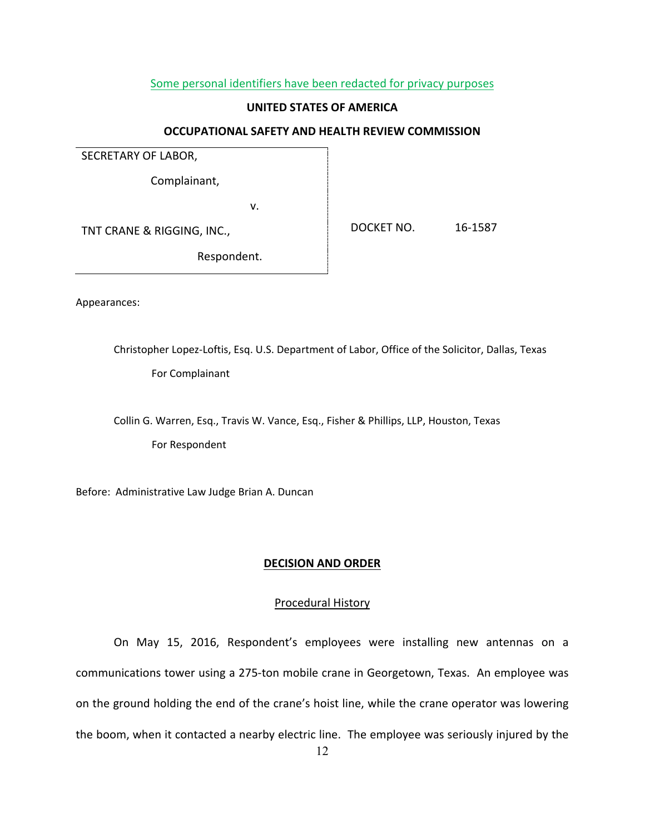### Some personal identifiers have been redacted for privacy purposes

### **UNITED STATES OF AMERICA**

### **OCCUPATIONAL SAFETY AND HEALTH REVIEW COMMISSION**

SECRETARY OF LABOR,

Complainant,

v.

TNT CRANE & RIGGING, INC.,

DOCKET NO. 16-1587

Respondent.

Appearances:

Christopher Lopez-Loftis, Esq. U.S. Department of Labor, Office of the Solicitor, Dallas, Texas For Complainant

Collin G. Warren, Esq., Travis W. Vance, Esq., Fisher & Phillips, LLP, Houston, Texas For Respondent

Before: Administrative Law Judge Brian A. Duncan

### **DECISION AND ORDER**

### Procedural History

On May 15, 2016, Respondent's employees were installing new antennas on a communications tower using a 275-ton mobile crane in Georgetown, Texas. An employee was on the ground holding the end of the crane's hoist line, while the crane operator was lowering the boom, when it contacted a nearby electric line. The employee was seriously injured by the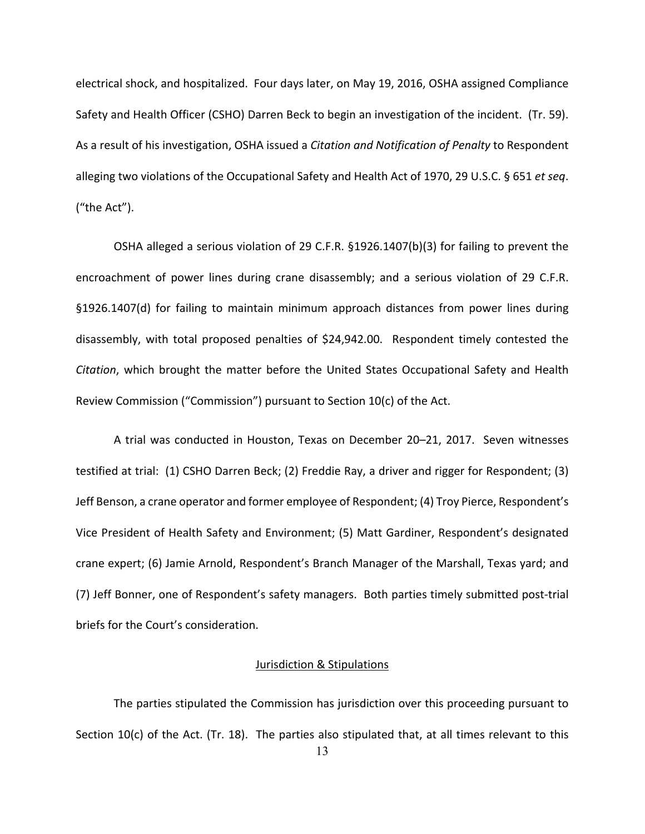electrical shock, and hospitalized. Four days later, on May 19, 2016, OSHA assigned Compliance Safety and Health Officer (CSHO) Darren Beck to begin an investigation of the incident. (Tr. 59). As a result of his investigation, OSHA issued a *Citation and Notification of Penalty* to Respondent alleging two violations of the Occupational Safety and Health Act of 1970, 29 U.S.C. § 651 *et seq*. ("the Act").

OSHA alleged a serious violation of 29 C.F.R. §1926.1407(b)(3) for failing to prevent the encroachment of power lines during crane disassembly; and a serious violation of 29 C.F.R. §1926.1407(d) for failing to maintain minimum approach distances from power lines during disassembly, with total proposed penalties of \$24,942.00. Respondent timely contested the *Citation*, which brought the matter before the United States Occupational Safety and Health Review Commission ("Commission") pursuant to Section 10(c) of the Act.

A trial was conducted in Houston, Texas on December 20–21, 2017. Seven witnesses testified at trial: (1) CSHO Darren Beck; (2) Freddie Ray, a driver and rigger for Respondent; (3) Jeff Benson, a crane operator and former employee of Respondent; (4) Troy Pierce, Respondent's Vice President of Health Safety and Environment; (5) Matt Gardiner, Respondent's designated crane expert; (6) Jamie Arnold, Respondent's Branch Manager of the Marshall, Texas yard; and (7) Jeff Bonner, one of Respondent's safety managers. Both parties timely submitted post-trial briefs for the Court's consideration.

#### Jurisdiction & Stipulations

The parties stipulated the Commission has jurisdiction over this proceeding pursuant to Section  $10(c)$  of the Act. (Tr. 18). The parties also stipulated that, at all times relevant to this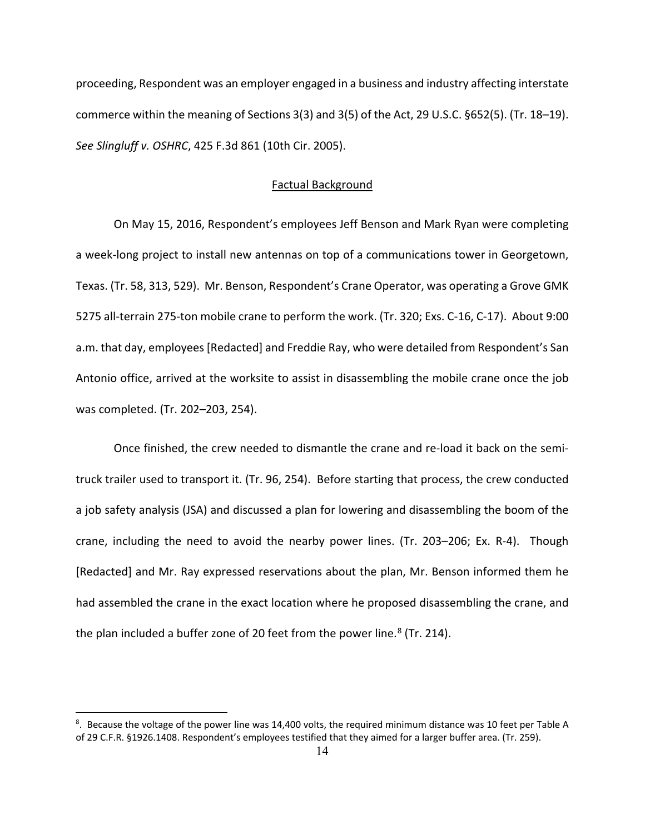proceeding, Respondent was an employer engaged in a business and industry affecting interstate commerce within the meaning of Sections 3(3) and 3(5) of the Act, 29 U.S.C. §652(5). (Tr. 18–19). *See Slingluff v. OSHRC*, 425 F.3d 861 (10th Cir. 2005).

### Factual Background

On May 15, 2016, Respondent's employees Jeff Benson and Mark Ryan were completing a week-long project to install new antennas on top of a communications tower in Georgetown, Texas. (Tr. 58, 313, 529). Mr. Benson, Respondent's Crane Operator, was operating a Grove GMK 5275 all-terrain 275-ton mobile crane to perform the work. (Tr. 320; Exs. C-16, C-17). About 9:00 a.m. that day, employees [Redacted] and Freddie Ray, who were detailed from Respondent's San Antonio office, arrived at the worksite to assist in disassembling the mobile crane once the job was completed. (Tr. 202–203, 254).

Once finished, the crew needed to dismantle the crane and re-load it back on the semitruck trailer used to transport it. (Tr. 96, 254). Before starting that process, the crew conducted a job safety analysis (JSA) and discussed a plan for lowering and disassembling the boom of the crane, including the need to avoid the nearby power lines. (Tr. 203–206; Ex. R-4). Though [Redacted] and Mr. Ray expressed reservations about the plan, Mr. Benson informed them he had assembled the crane in the exact location where he proposed disassembling the crane, and the plan included a buffer zone of 20 feet from the power line. $8$  (Tr. 214).

<span id="page-13-0"></span><sup>&</sup>lt;sup>8</sup>. Because the voltage of the power line was 14,400 volts, the required minimum distance was 10 feet per Table A of 29 C.F.R. §1926.1408. Respondent's employees testified that they aimed for a larger buffer area. (Tr. 259).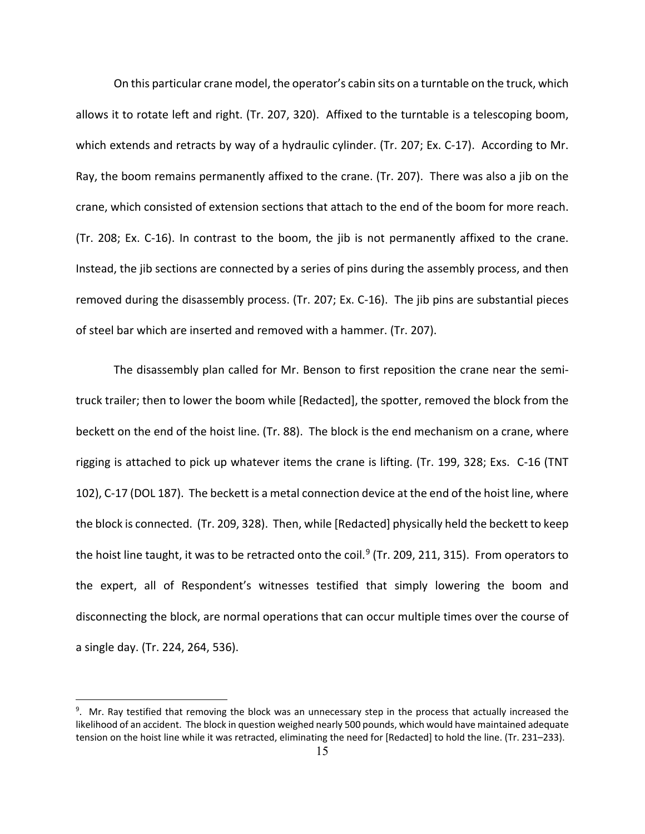On this particular crane model, the operator's cabin sits on a turntable on the truck, which allows it to rotate left and right. (Tr. 207, 320). Affixed to the turntable is a telescoping boom, which extends and retracts by way of a hydraulic cylinder. (Tr. 207; Ex. C-17). According to Mr. Ray, the boom remains permanently affixed to the crane. (Tr. 207). There was also a jib on the crane, which consisted of extension sections that attach to the end of the boom for more reach. (Tr. 208; Ex. C-16). In contrast to the boom, the jib is not permanently affixed to the crane. Instead, the jib sections are connected by a series of pins during the assembly process, and then removed during the disassembly process. (Tr. 207; Ex. C-16). The jib pins are substantial pieces of steel bar which are inserted and removed with a hammer. (Tr. 207).

The disassembly plan called for Mr. Benson to first reposition the crane near the semitruck trailer; then to lower the boom while [Redacted], the spotter, removed the block from the beckett on the end of the hoist line. (Tr. 88). The block is the end mechanism on a crane, where rigging is attached to pick up whatever items the crane is lifting. (Tr. 199, 328; Exs. C-16 (TNT 102), C-17 (DOL 187). The beckett is a metal connection device at the end of the hoist line, where the block is connected. (Tr. 209, 328). Then, while [Redacted] physically held the beckett to keep the hoist line taught, it was to be retracted onto the coil.<sup>[9](#page-14-0)</sup> (Tr. 209, 211, 315). From operators to the expert, all of Respondent's witnesses testified that simply lowering the boom and disconnecting the block, are normal operations that can occur multiple times over the course of a single day. (Tr. 224, 264, 536).

<span id="page-14-0"></span><sup>&</sup>lt;sup>9</sup>. Mr. Ray testified that removing the block was an unnecessary step in the process that actually increased the likelihood of an accident. The block in question weighed nearly 500 pounds, which would have maintained adequate tension on the hoist line while it was retracted, eliminating the need for [Redacted] to hold the line. (Tr. 231–233).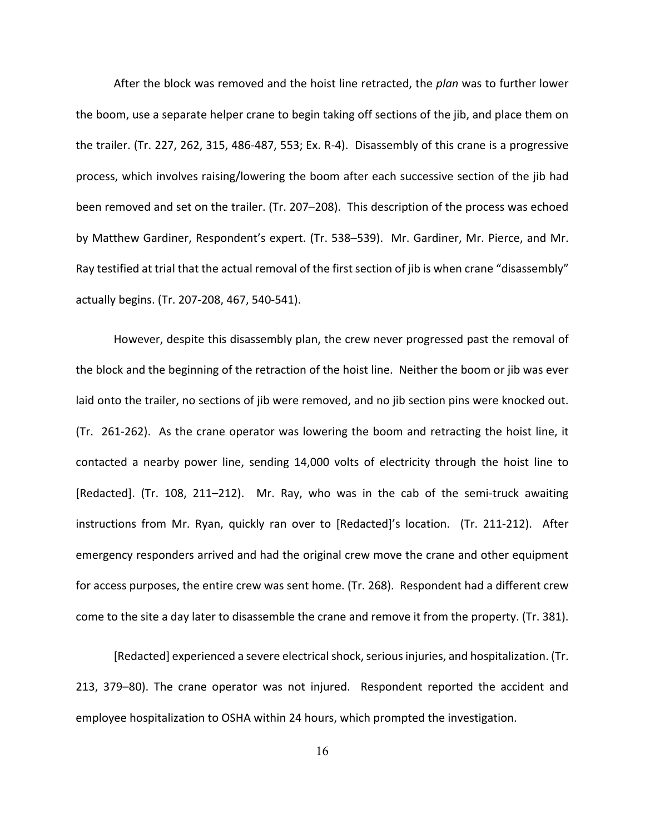After the block was removed and the hoist line retracted, the *plan* was to further lower the boom, use a separate helper crane to begin taking off sections of the jib, and place them on the trailer. (Tr. 227, 262, 315, 486-487, 553; Ex. R-4). Disassembly of this crane is a progressive process, which involves raising/lowering the boom after each successive section of the jib had been removed and set on the trailer. (Tr. 207–208). This description of the process was echoed by Matthew Gardiner, Respondent's expert. (Tr. 538–539). Mr. Gardiner, Mr. Pierce, and Mr. Ray testified at trial that the actual removal of the first section of jib is when crane "disassembly" actually begins. (Tr. 207-208, 467, 540-541).

However, despite this disassembly plan, the crew never progressed past the removal of the block and the beginning of the retraction of the hoist line. Neither the boom or jib was ever laid onto the trailer, no sections of jib were removed, and no jib section pins were knocked out. (Tr. 261-262). As the crane operator was lowering the boom and retracting the hoist line, it contacted a nearby power line, sending 14,000 volts of electricity through the hoist line to [Redacted]. (Tr. 108, 211–212). Mr. Ray, who was in the cab of the semi-truck awaiting instructions from Mr. Ryan, quickly ran over to [Redacted]'s location. (Tr. 211-212). After emergency responders arrived and had the original crew move the crane and other equipment for access purposes, the entire crew was sent home. (Tr. 268). Respondent had a different crew come to the site a day later to disassemble the crane and remove it from the property. (Tr. 381).

[Redacted] experienced a severe electricalshock, serious injuries, and hospitalization. (Tr. 213, 379–80). The crane operator was not injured. Respondent reported the accident and employee hospitalization to OSHA within 24 hours, which prompted the investigation.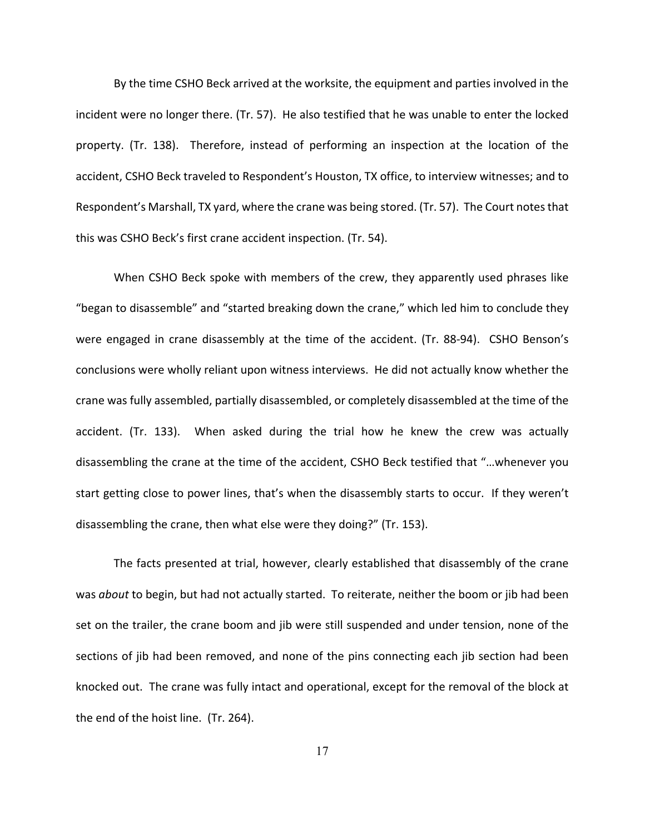By the time CSHO Beck arrived at the worksite, the equipment and parties involved in the incident were no longer there. (Tr. 57). He also testified that he was unable to enter the locked property. (Tr. 138). Therefore, instead of performing an inspection at the location of the accident, CSHO Beck traveled to Respondent's Houston, TX office, to interview witnesses; and to Respondent's Marshall, TX yard, where the crane was being stored. (Tr. 57). The Court notes that this was CSHO Beck's first crane accident inspection. (Tr. 54).

When CSHO Beck spoke with members of the crew, they apparently used phrases like "began to disassemble" and "started breaking down the crane," which led him to conclude they were engaged in crane disassembly at the time of the accident. (Tr. 88-94). CSHO Benson's conclusions were wholly reliant upon witness interviews. He did not actually know whether the crane was fully assembled, partially disassembled, or completely disassembled at the time of the accident. (Tr. 133). When asked during the trial how he knew the crew was actually disassembling the crane at the time of the accident, CSHO Beck testified that "…whenever you start getting close to power lines, that's when the disassembly starts to occur. If they weren't disassembling the crane, then what else were they doing?" (Tr. 153).

The facts presented at trial, however, clearly established that disassembly of the crane was *about* to begin, but had not actually started. To reiterate, neither the boom or jib had been set on the trailer, the crane boom and jib were still suspended and under tension, none of the sections of jib had been removed, and none of the pins connecting each jib section had been knocked out. The crane was fully intact and operational, except for the removal of the block at the end of the hoist line. (Tr. 264).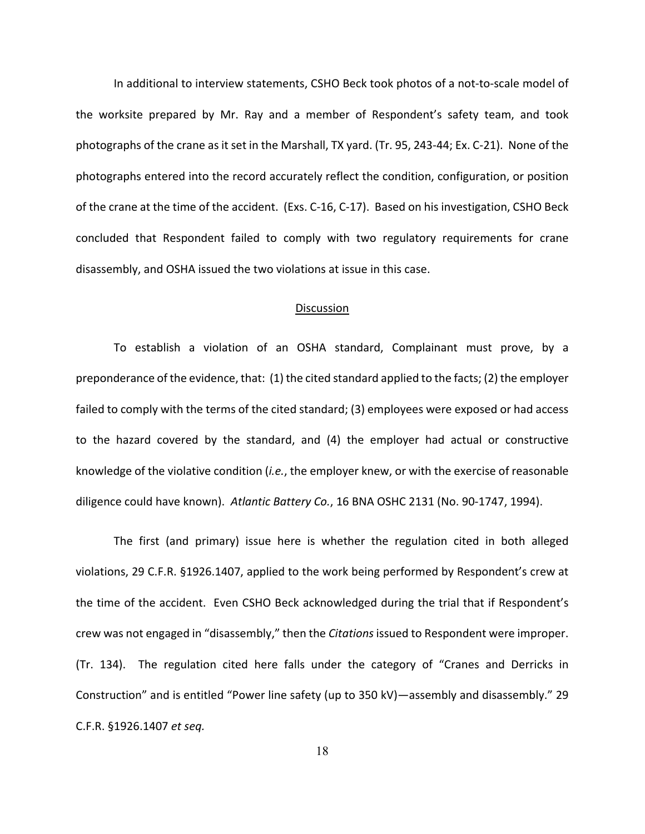In additional to interview statements, CSHO Beck took photos of a not-to-scale model of the worksite prepared by Mr. Ray and a member of Respondent's safety team, and took photographs of the crane as it set in the Marshall, TX yard. (Tr. 95, 243-44; Ex. C-21). None of the photographs entered into the record accurately reflect the condition, configuration, or position of the crane at the time of the accident. (Exs. C-16, C-17). Based on his investigation, CSHO Beck concluded that Respondent failed to comply with two regulatory requirements for crane disassembly, and OSHA issued the two violations at issue in this case.

#### Discussion

To establish a violation of an OSHA standard, Complainant must prove, by a preponderance of the evidence, that: (1) the cited standard applied to the facts; (2) the employer failed to comply with the terms of the cited standard; (3) employees were exposed or had access to the hazard covered by the standard, and (4) the employer had actual or constructive knowledge of the violative condition (*i.e.*, the employer knew, or with the exercise of reasonable diligence could have known). *Atlantic Battery Co.*, 16 BNA OSHC 2131 (No. 90-1747, 1994).

The first (and primary) issue here is whether the regulation cited in both alleged violations, 29 C.F.R. §1926.1407, applied to the work being performed by Respondent's crew at the time of the accident. Even CSHO Beck acknowledged during the trial that if Respondent's crew was not engaged in "disassembly," then the *Citations* issued to Respondent were improper. (Tr. 134). The regulation cited here falls under the category of "Cranes and Derricks in Construction" and is entitled "Power line safety (up to 350 kV)—assembly and disassembly." 29 C.F.R. §1926.1407 *et seq.*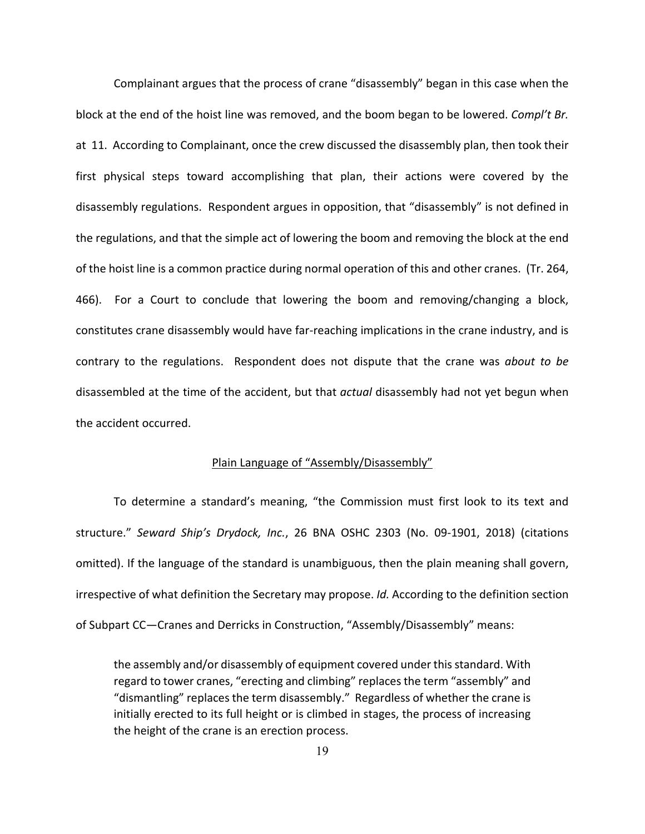Complainant argues that the process of crane "disassembly" began in this case when the block at the end of the hoist line was removed, and the boom began to be lowered. *Compl't Br.* at 11. According to Complainant, once the crew discussed the disassembly plan, then took their first physical steps toward accomplishing that plan, their actions were covered by the disassembly regulations. Respondent argues in opposition, that "disassembly" is not defined in the regulations, and that the simple act of lowering the boom and removing the block at the end of the hoist line is a common practice during normal operation of this and other cranes. (Tr. 264, 466). For a Court to conclude that lowering the boom and removing/changing a block, constitutes crane disassembly would have far-reaching implications in the crane industry, and is contrary to the regulations. Respondent does not dispute that the crane was *about to be* disassembled at the time of the accident, but that *actual* disassembly had not yet begun when the accident occurred.

### Plain Language of "Assembly/Disassembly"

To determine a standard's meaning, "the Commission must first look to its text and structure." *Seward Ship's Drydock, Inc.*, 26 BNA OSHC 2303 (No. 09-1901, 2018) (citations omitted). If the language of the standard is unambiguous, then the plain meaning shall govern, irrespective of what definition the Secretary may propose. *Id.* According to the definition section of Subpart CC—Cranes and Derricks in Construction, "Assembly/Disassembly" means:

the assembly and/or disassembly of equipment covered under this standard. With regard to tower cranes, "erecting and climbing" replaces the term "assembly" and "dismantling" replaces the term disassembly." Regardless of whether the crane is initially erected to its full height or is climbed in stages, the process of increasing the height of the crane is an erection process.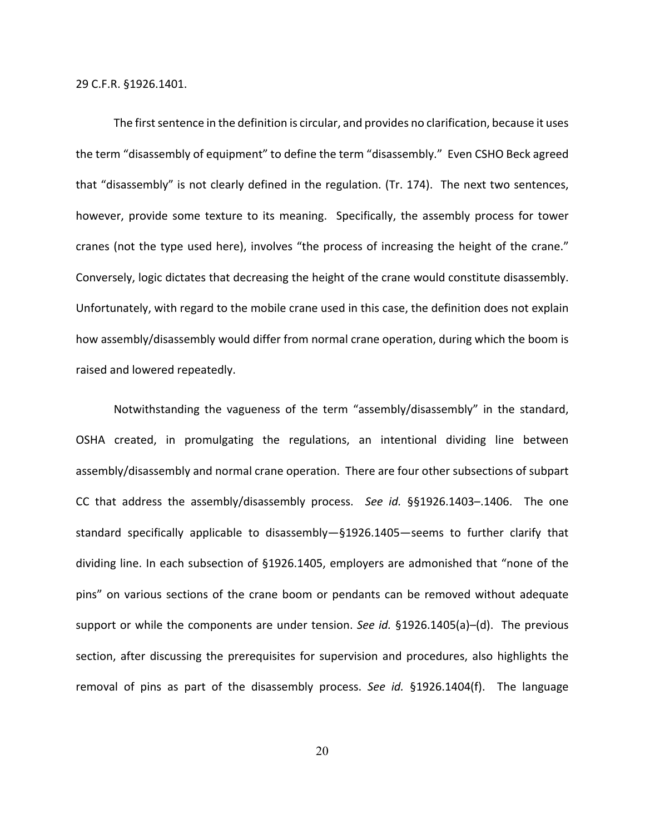29 C.F.R. §1926.1401.

The first sentence in the definition is circular, and provides no clarification, because it uses the term "disassembly of equipment" to define the term "disassembly." Even CSHO Beck agreed that "disassembly" is not clearly defined in the regulation. (Tr. 174). The next two sentences, however, provide some texture to its meaning. Specifically, the assembly process for tower cranes (not the type used here), involves "the process of increasing the height of the crane." Conversely, logic dictates that decreasing the height of the crane would constitute disassembly. Unfortunately, with regard to the mobile crane used in this case, the definition does not explain how assembly/disassembly would differ from normal crane operation, during which the boom is raised and lowered repeatedly.

Notwithstanding the vagueness of the term "assembly/disassembly" in the standard, OSHA created, in promulgating the regulations, an intentional dividing line between assembly/disassembly and normal crane operation. There are four other subsections of subpart CC that address the assembly/disassembly process. *See id.* §§1926.1403–.1406. The one standard specifically applicable to disassembly—§1926.1405—seems to further clarify that dividing line. In each subsection of §1926.1405, employers are admonished that "none of the pins" on various sections of the crane boom or pendants can be removed without adequate support or while the components are under tension. *See id.* §1926.1405(a)–(d). The previous section, after discussing the prerequisites for supervision and procedures, also highlights the removal of pins as part of the disassembly process. *See id.* §1926.1404(f). The language

20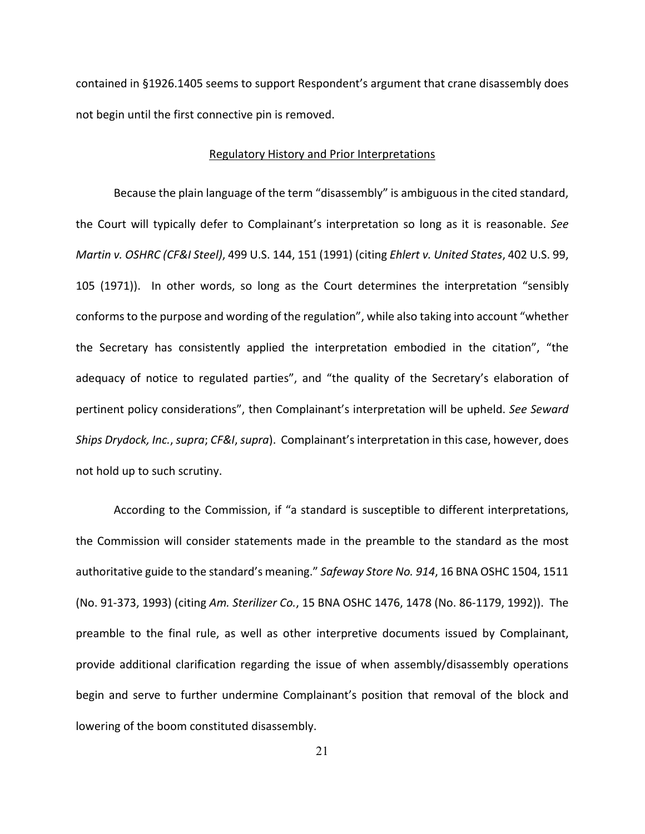contained in §1926.1405 seems to support Respondent's argument that crane disassembly does not begin until the first connective pin is removed.

#### Regulatory History and Prior Interpretations

Because the plain language of the term "disassembly" is ambiguous in the cited standard, the Court will typically defer to Complainant's interpretation so long as it is reasonable. *See Martin v. OSHRC (CF&I Steel)*, 499 U.S. 144, 151 (1991) (citing *Ehlert v. United States*, 402 U.S. 99, 105 (1971)). In other words, so long as the Court determines the interpretation "sensibly conforms to the purpose and wording of the regulation", while also taking into account "whether the Secretary has consistently applied the interpretation embodied in the citation", "the adequacy of notice to regulated parties", and "the quality of the Secretary's elaboration of pertinent policy considerations", then Complainant's interpretation will be upheld. *See Seward Ships Drydock, Inc.*, *supra*; *CF&I*, *supra*). Complainant's interpretation in this case, however, does not hold up to such scrutiny.

According to the Commission, if "a standard is susceptible to different interpretations, the Commission will consider statements made in the preamble to the standard as the most authoritative guide to the standard's meaning." *Safeway Store No. 914*, 16 BNA OSHC 1504, 1511 (No. 91-373, 1993) (citing *Am. Sterilizer Co.*, 15 BNA OSHC 1476, 1478 (No. 86-1179, 1992)). The preamble to the final rule, as well as other interpretive documents issued by Complainant, provide additional clarification regarding the issue of when assembly/disassembly operations begin and serve to further undermine Complainant's position that removal of the block and lowering of the boom constituted disassembly.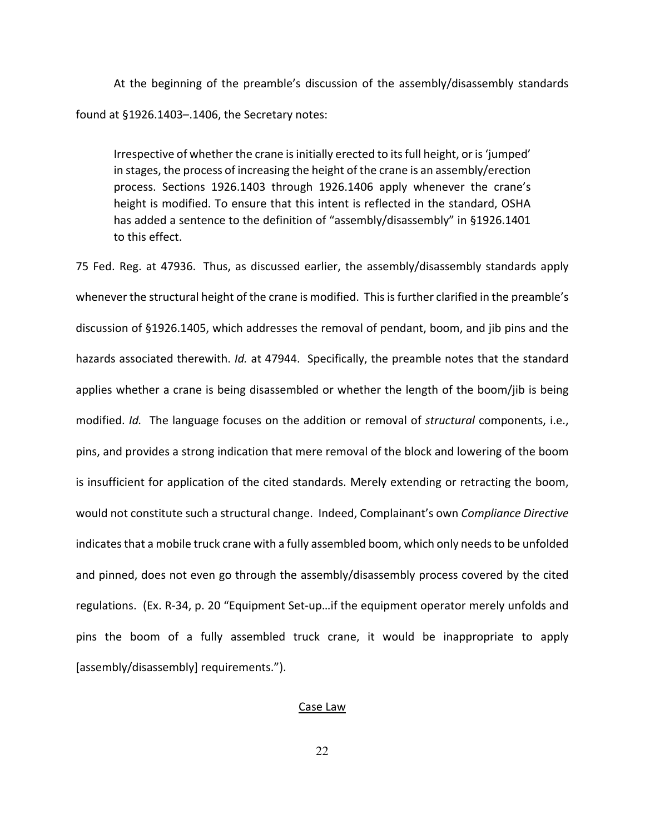At the beginning of the preamble's discussion of the assembly/disassembly standards found at §1926.1403–.1406, the Secretary notes:

Irrespective of whether the crane is initially erected to its full height, or is 'jumped' in stages, the process of increasing the height of the crane is an assembly/erection process. Sections 1926.1403 through 1926.1406 apply whenever the crane's height is modified. To ensure that this intent is reflected in the standard, OSHA has added a sentence to the definition of "assembly/disassembly" in §1926.1401 to this effect.

75 Fed. Reg. at 47936. Thus, as discussed earlier, the assembly/disassembly standards apply whenever the structural height of the crane is modified. This is further clarified in the preamble's discussion of §1926.1405, which addresses the removal of pendant, boom, and jib pins and the hazards associated therewith. *Id.* at 47944. Specifically, the preamble notes that the standard applies whether a crane is being disassembled or whether the length of the boom/jib is being modified. *Id.* The language focuses on the addition or removal of *structural* components, i.e., pins, and provides a strong indication that mere removal of the block and lowering of the boom is insufficient for application of the cited standards. Merely extending or retracting the boom, would not constitute such a structural change. Indeed, Complainant's own *Compliance Directive* indicates that a mobile truck crane with a fully assembled boom, which only needs to be unfolded and pinned, does not even go through the assembly/disassembly process covered by the cited regulations. (Ex. R-34, p. 20 "Equipment Set-up…if the equipment operator merely unfolds and pins the boom of a fully assembled truck crane, it would be inappropriate to apply [assembly/disassembly] requirements.").

### Case Law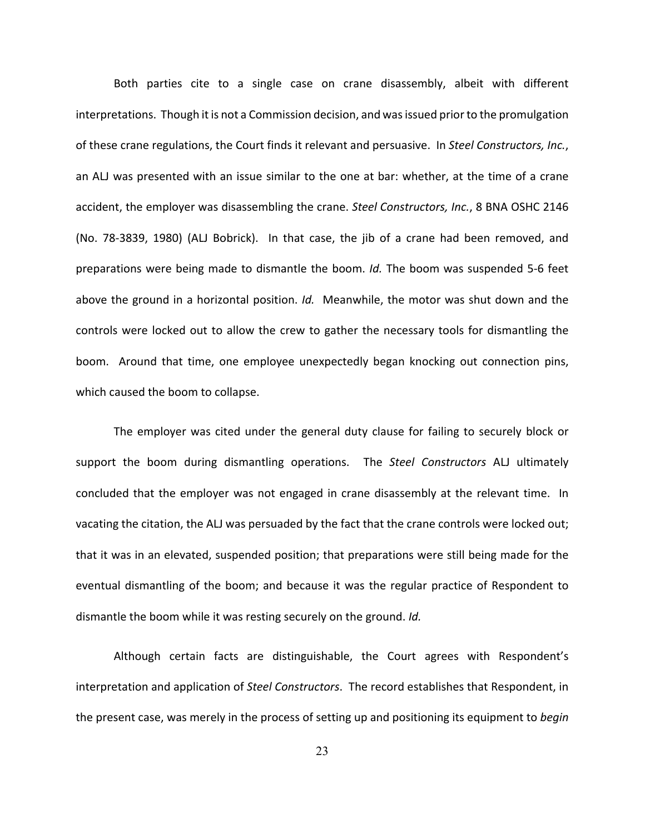Both parties cite to a single case on crane disassembly, albeit with different interpretations. Though it is not a Commission decision, and was issued prior to the promulgation of these crane regulations, the Court finds it relevant and persuasive. In *Steel Constructors, Inc.*, an ALJ was presented with an issue similar to the one at bar: whether, at the time of a crane accident, the employer was disassembling the crane. *Steel Constructors, Inc.*, 8 BNA OSHC 2146 (No. 78-3839, 1980) (ALJ Bobrick). In that case, the jib of a crane had been removed, and preparations were being made to dismantle the boom. *Id.* The boom was suspended 5-6 feet above the ground in a horizontal position. *Id.* Meanwhile, the motor was shut down and the controls were locked out to allow the crew to gather the necessary tools for dismantling the boom. Around that time, one employee unexpectedly began knocking out connection pins, which caused the boom to collapse.

The employer was cited under the general duty clause for failing to securely block or support the boom during dismantling operations. The *Steel Constructors* ALJ ultimately concluded that the employer was not engaged in crane disassembly at the relevant time. In vacating the citation, the ALJ was persuaded by the fact that the crane controls were locked out; that it was in an elevated, suspended position; that preparations were still being made for the eventual dismantling of the boom; and because it was the regular practice of Respondent to dismantle the boom while it was resting securely on the ground. *Id.*

Although certain facts are distinguishable, the Court agrees with Respondent's interpretation and application of *Steel Constructors*. The record establishes that Respondent, in the present case, was merely in the process of setting up and positioning its equipment to *begin*